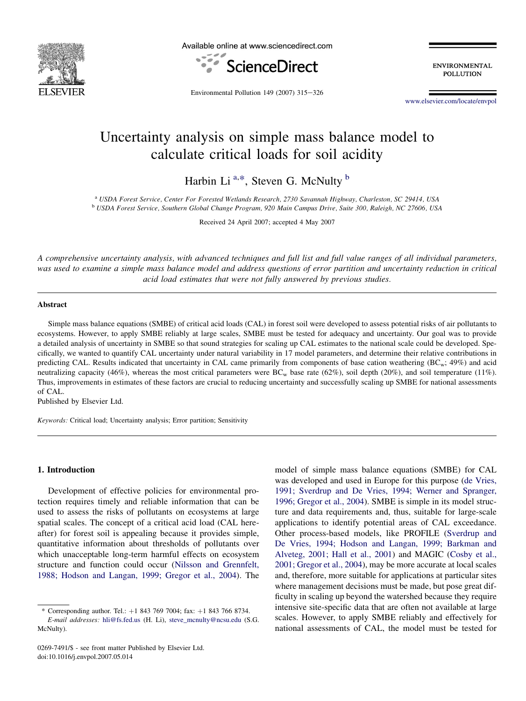

Available online at www.sciencedirect.com



**ENVIRONMENTAL POLLUTION** 

Environmental Pollution 149 (2007)  $315-326$ 

[www.elsevier.com/locate/envpol](http://www.elsevier.com/locate/envpol)

# Uncertainty analysis on simple mass balance model to calculate critical loads for soil acidity

Harbin Li<sup>a,\*</sup>, Steven G. McNulty<sup>b</sup>

<sup>a</sup> USDA Forest Service, Center For Forested Wetlands Research, 2730 Savannah Highway, Charleston, SC 29414, USA<br><sup>b</sup> USDA Forest Service, Southern Global Change Program, 920 Main Campus Drive, Suite 300, Raleigh, NC 27606,

Received 24 April 2007; accepted 4 May 2007

A comprehensive uncertainty analysis, with advanced techniques and full list and full value ranges of all individual parameters, was used to examine a simple mass balance model and address questions of error partition and uncertainty reduction in critical acid load estimates that were not fully answered by previous studies.

## Abstract

Simple mass balance equations (SMBE) of critical acid loads (CAL) in forest soil were developed to assess potential risks of air pollutants to ecosystems. However, to apply SMBE reliably at large scales, SMBE must be tested for adequacy and uncertainty. Our goal was to provide a detailed analysis of uncertainty in SMBE so that sound strategies for scaling up CAL estimates to the national scale could be developed. Specifically, we wanted to quantify CAL uncertainty under natural variability in 17 model parameters, and determine their relative contributions in predicting CAL. Results indicated that uncertainty in CAL came primarily from components of base cation weathering (BCw; 49%) and acid neutralizing capacity (46%), whereas the most critical parameters were  $BC_w$  base rate (62%), soil depth (20%), and soil temperature (11%). Thus, improvements in estimates of these factors are crucial to reducing uncertainty and successfully scaling up SMBE for national assessments of CAL.

Published by Elsevier Ltd.

Keywords: Critical load; Uncertainty analysis; Error partition; Sensitivity

## 1. Introduction

Development of effective policies for environmental protection requires timely and reliable information that can be used to assess the risks of pollutants on ecosystems at large spatial scales. The concept of a critical acid load (CAL hereafter) for forest soil is appealing because it provides simple, quantitative information about thresholds of pollutants over which unacceptable long-term harmful effects on ecosystem structure and function could occur ([Nilsson and Grennfelt,](#page-11-0) [1988; Hodson and Langan, 1999; Gregor et al., 2004\)](#page-11-0). The model of simple mass balance equations (SMBE) for CAL was developed and used in Europe for this purpose ([de Vries,](#page-10-0) [1991; Sverdrup and De Vries, 1994; Werner and Spranger,](#page-10-0) [1996; Gregor et al., 2004\)](#page-10-0). SMBE is simple in its model structure and data requirements and, thus, suitable for large-scale applications to identify potential areas of CAL exceedance. Other process-based models, like PROFILE [\(Sverdrup and](#page-11-0) [De Vries, 1994; Hodson and Langan, 1999; Barkman and](#page-11-0) [Alveteg, 2001; Hall et al., 2001](#page-11-0)) and MAGIC ([Cosby et al.,](#page-10-0) [2001; Gregor et al., 2004](#page-10-0)), may be more accurate at local scales and, therefore, more suitable for applications at particular sites where management decisions must be made, but pose great difficulty in scaling up beyond the watershed because they require intensive site-specific data that are often not available at large scales. However, to apply SMBE reliably and effectively for national assessments of CAL, the model must be tested for

<sup>\*</sup> Corresponding author. Tel.: þ1 843 769 7004; fax: þ1 843 766 8734. E-mail addresses: [hli@fs.fed.us](mailto:hli@fs.fed.us) (H. Li), [steve\\_mcnulty@ncsu.edu](mailto:steve_mcnulty@ncsu.edu) (S.G. McNulty).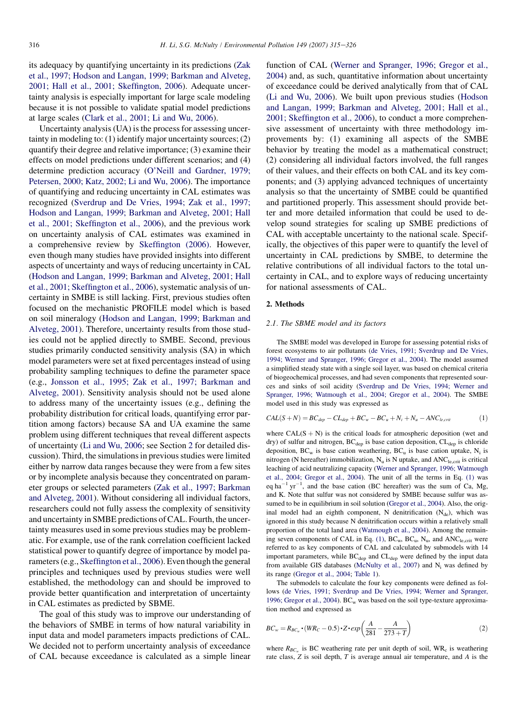<span id="page-1-0"></span>its adequacy by quantifying uncertainty in its predictions [\(Zak](#page-11-0) [et al., 1997; Hodson and Langan, 1999; Barkman and Alveteg,](#page-11-0) [2001; Hall et al., 2001; Skeffington, 2006\)](#page-11-0). Adequate uncertainty analysis is especially important for large scale modeling because it is not possible to validate spatial model predictions at large scales [\(Clark et al., 2001; Li and Wu, 2006\)](#page-10-0).

Uncertainty analysis (UA) is the process for assessing uncertainty in modeling to: (1) identify major uncertainty sources; (2) quantify their degree and relative importance; (3) examine their effects on model predictions under different scenarios; and (4) determine prediction accuracy ([O'Neill and Gardner, 1979;](#page-11-0) [Petersen, 2000; Katz, 2002; Li and Wu, 2006](#page-11-0)). The importance of quantifying and reducing uncertainty in CAL estimates was recognized [\(Sverdrup and De Vries, 1994; Zak et al., 1997;](#page-11-0) [Hodson and Langan, 1999; Barkman and Alveteg, 2001; Hall](#page-11-0) [et al., 2001; Skeffington et al., 2006](#page-11-0)), and the previous work on uncertainty analysis of CAL estimates was examined in a comprehensive review by [Skeffington \(2006\)](#page-11-0). However, even though many studies have provided insights into different aspects of uncertainty and ways of reducing uncertainty in CAL [\(Hodson and Langan, 1999; Barkman and Alveteg, 2001; Hall](#page-11-0) [et al., 2001; Skeffington et al., 2006](#page-11-0)), systematic analysis of uncertainty in SMBE is still lacking. First, previous studies often focused on the mechanistic PROFILE model which is based on soil mineralogy ([Hodson and Langan, 1999; Barkman and](#page-11-0) [Alveteg, 2001](#page-11-0)). Therefore, uncertainty results from those studies could not be applied directly to SMBE. Second, previous studies primarily conducted sensitivity analysis (SA) in which model parameters were set at fixed percentages instead of using probability sampling techniques to define the parameter space (e.g., [Jonsson et al., 1995; Zak et al., 1997; Barkman and](#page-11-0) [Alveteg, 2001](#page-11-0)). Sensitivity analysis should not be used alone to address many of the uncertainty issues (e.g., defining the probability distribution for critical loads, quantifying error partition among factors) because SA and UA examine the same problem using different techniques that reveal different aspects of uncertainty [\(Li and Wu, 2006;](#page-11-0) see Section 2 for detailed discussion). Third, the simulations in previous studies were limited either by narrow data ranges because they were from a few sites or by incomplete analysis because they concentrated on parameter groups or selected parameters [\(Zak et al., 1997; Barkman](#page-11-0) [and Alveteg, 2001](#page-11-0)). Without considering all individual factors, researchers could not fully assess the complexity of sensitivity and uncertainty in SMBE predictions of CAL. Fourth, the uncertainty measures used in some previous studies may be problematic. For example, use of the rank correlation coefficient lacked statistical power to quantify degree of importance by model parameters (e.g., [Skeffington et al., 2006\)](#page-11-0). Even though the general principles and techniques used by previous studies were well established, the methodology can and should be improved to provide better quantification and interpretation of uncertainty in CAL estimates as predicted by SBME.

The goal of this study was to improve our understanding of the behaviors of SMBE in terms of how natural variability in input data and model parameters impacts predictions of CAL. We decided not to perform uncertainty analysis of exceedance of CAL because exceedance is calculated as a simple linear function of CAL ([Werner and Spranger, 1996; Gregor et al.,](#page-11-0) [2004\)](#page-11-0) and, as such, quantitative information about uncertainty of exceedance could be derived analytically from that of CAL [\(Li and Wu, 2006](#page-11-0)). We built upon previous studies ([Hodson](#page-11-0) [and Langan, 1999; Barkman and Alveteg, 2001; Hall et al.,](#page-11-0) [2001; Skeffington et al., 2006](#page-11-0)), to conduct a more comprehensive assessment of uncertainty with three methodology improvements by: (1) examining all aspects of the SMBE behavior by treating the model as a mathematical construct; (2) considering all individual factors involved, the full ranges of their values, and their effects on both CAL and its key components; and (3) applying advanced techniques of uncertainty analysis so that the uncertainty of SMBE could be quantified and partitioned properly. This assessment should provide better and more detailed information that could be used to develop sound strategies for scaling up SMBE predictions of CAL with acceptable uncertainty to the national scale. Specifically, the objectives of this paper were to quantify the level of uncertainty in CAL predictions by SMBE, to determine the relative contributions of all individual factors to the total uncertainty in CAL, and to explore ways of reducing uncertainty for national assessments of CAL.

## 2. Methods

#### 2.1. The SBME model and its factors

The SMBE model was developed in Europe for assessing potential risks of forest ecosystems to air pollutants [\(de Vries, 1991; Sverdrup and De Vries,](#page-10-0) [1994; Werner and Spranger, 1996; Gregor et al., 2004\)](#page-10-0). The model assumed a simplified steady state with a single soil layer, was based on chemical criteria of biogeochemical processes, and had seven components that represented sources and sinks of soil acidity [\(Sverdrup and De Vries, 1994; Werner and](#page-11-0) [Spranger, 1996; Watmough et al., 2004; Gregor et al., 2004\)](#page-11-0). The SMBE model used in this study was expressed as

$$
CAL(S+N) = BC_{dep} - CL_{dep} + BC_w - BC_u + N_i + N_u - ANC_{le,crit}
$$
 (1)

where  $CAL(S + N)$  is the critical loads for atmospheric deposition (wet and dry) of sulfur and nitrogen,  $BC_{dep}$  is base cation deposition,  $CL_{dep}$  is chloride deposition,  $BC_w$  is base cation weathering,  $BC_u$  is base cation uptake,  $N_i$  is nitrogen (N hereafter) immobilization,  $N_u$  is N uptake, and  $ANC<sub>le, crit</sub>$  is critical leaching of acid neutralizing capacity [\(Werner and Spranger, 1996; Watmough](#page-11-0) [et al., 2004; Gregor et al., 2004](#page-11-0)). The unit of all the terms in Eq. (1) was eq ha<sup>-1</sup> yr<sup>-1</sup>, and the base cation (BC hereafter) was the sum of Ca, Mg, and K. Note that sulfur was not considered by SMBE because sulfur was assumed to be in equilibrium in soil solution ([Gregor et al., 2004](#page-10-0)). Also, the original model had an eighth component, N denitrification  $(N_{de})$ , which was ignored in this study because N denitrification occurs within a relatively small proportion of the total land area [\(Watmough et al., 2004\)](#page-11-0). Among the remaining seven components of CAL in Eq. (1),  $BC_w$ ,  $BC_u$ ,  $N_u$ , and  $ANC<sub>le, crit</sub>$  were referred to as key components of CAL and calculated by submodels with 14 important parameters, while  $BC_{dep}$  and  $CL_{dep}$  were defined by the input data from available GIS databases ([McNulty et al., 2007\)](#page-11-0) and  $N_i$  was defined by its range ([Gregor et al., 2004;](#page-10-0) [Table 1\)](#page-2-0).

The submodels to calculate the four key components were defined as follows [\(de Vries, 1991; Sverdrup and De Vries, 1994; Werner and Spranger,](#page-10-0) [1996; Gregor et al., 2004\)](#page-10-0).  $BC_w$  was based on the soil type-texture approximation method and expressed as

$$
BC_w = R_{BC_w} \cdot (WR_C - 0.5) \cdot Z \cdot exp\left(\frac{A}{281} - \frac{A}{273 + T}\right)
$$
 (2)

where  $R_{BC_w}$  is BC weathering rate per unit depth of soil, WR<sub>c</sub> is weathering rate class, Z is soil depth, T is average annual air temperature, and A is the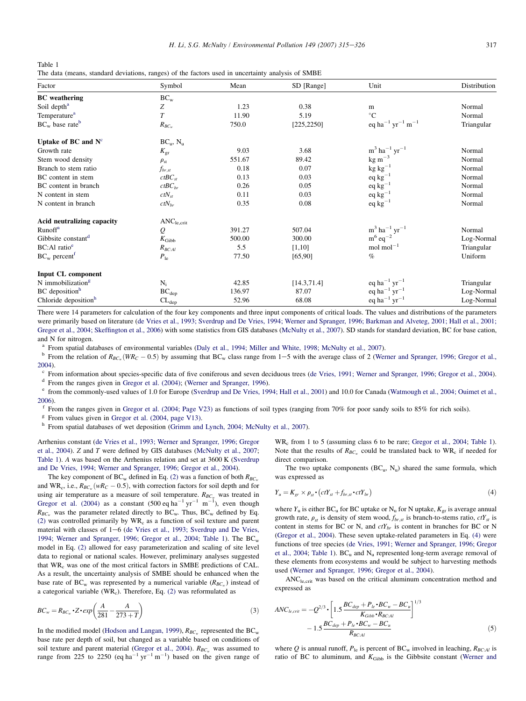<span id="page-2-0"></span>Table 1 The data (means, standard deviations, ranges) of the factors used in uncertainty analysis of SMBE

| Factor                           | Symbol                 | Mean   | SD [Range]   | Unit                                                 | Distribution |
|----------------------------------|------------------------|--------|--------------|------------------------------------------------------|--------------|
| <b>BC</b> weathering             | $BC_w$                 |        |              |                                                      |              |
| Soil depth <sup>a</sup>          | Ζ                      | 1.23   | 0.38         | m                                                    | Normal       |
| Temperature <sup>a</sup>         | $\overline{T}$         | 11.90  | 5.19         | $\rm ^{\circ}C$                                      | Normal       |
| $BC_w$ base rate <sup>b</sup>    | $R_{BC_w}$             | 750.0  | [225, 2250]  | eq ha <sup>-1</sup> yr <sup>-1</sup> m <sup>-1</sup> | Triangular   |
| Uptake of BC and $N^c$           | $BC_u$ , $N_u$         |        |              |                                                      |              |
| Growth rate                      | $K_{\rm gr}$           | 9.03   | 3.68         | $m^3$ ha <sup>-1</sup> yr <sup>-1</sup>              | Normal       |
| Stem wood density                | $\rho_{\rm st}$        | 551.67 | 89.42        | $\text{kg m}^{-3}$                                   | Normal       |
| Branch to stem ratio             | $f_{br,st}$            | 0.18   | 0.07         | $kg kg^{-1}$                                         | Normal       |
| BC content in stem               | $ctBC_{st}$            | 0.13   | 0.03         | $eq\ kg^{-1}$                                        | Normal       |
| BC content in branch             | $ctBC_{br}$            | 0.26   | 0.05         | $eq kg^{-1}$                                         | Normal       |
| N content in stem                | $ctN_{st}$             | 0.11   | 0.03         | $eq\ kg^{-1}$                                        | Normal       |
| N content in branch              | $ctN_{br}$             | 0.35   | 0.08         | $eq kg^{-1}$                                         | Normal       |
| Acid neutralizing capacity       | ANC <sub>le,crit</sub> |        |              |                                                      |              |
| Runoff <sup>a</sup>              | Q                      | 391.27 | 507.04       | $m^3$ ha <sup>-1</sup> yr <sup>-1</sup>              | Normal       |
| Gibbsite constant <sup>d</sup>   | $K_{\rm{Gibb}}$        | 500.00 | 300.00       | $m^6$ eq <sup>-2</sup>                               | Log-Normal   |
| BC:Al ratio <sup>e</sup>         | $R_{BC:Al}$            | 5.5    | [1,10]       | $mol$ mol $^{-1}$                                    | Triangular   |
| $BC_w$ percent <sup>1</sup>      | $P_{1e}$               | 77.50  | [65, 90]     | $\%$                                                 | Uniform      |
| Input CL component               |                        |        |              |                                                      |              |
| N immobilization <sup>g</sup>    | $N_i$                  | 42.85  | [14.3, 71.4] | eq ha <sup>-1</sup> yr <sup>-1</sup>                 | Triangular   |
| BC deposition <sup>h</sup>       | $BC_{dep}$             | 136.97 | 87.07        | eq ha <sup>-1</sup> yr <sup>-1</sup>                 | Log-Normal   |
| Chloride deposition <sup>h</sup> | $CL_{dep}$             | 52.96  | 68.08        | eq ha <sup>-1</sup> yr <sup>-1</sup>                 | Log-Normal   |

There were 14 parameters for calculation of the four key components and three input components of critical loads. The values and distributions of the parameters were primarily based on literature ([de Vries et al., 1993; Sverdrup and De Vries, 1994; Werner and Spranger, 1996; Barkman and Alveteg, 2001; Hall et al., 2001;](#page-10-0) [Gregor et al., 2004; Skeffington et al., 2006\)](#page-10-0) with some statistics from GIS databases [\(McNulty et al., 2007\)](#page-11-0). SD stands for standard deviation, BC for base cation, and N for nitrogen.

<sup>a</sup> From spatial databases of environmental variables ([Daly et al., 1994; Miller and White, 1998; McNulty et al., 2007\)](#page-10-0).<br><sup>b</sup> From the relation of  $R_{BC_w}(W_{RC} - 0.5)$  by assuming that BC<sub>w</sub> class range from 1–5 with the aver

[2004](#page-11-0)).<br><sup>c</sup> From information about species-specific data of five coniferous and seven deciduous trees [\(de Vries, 1991; Werner and Spranger, 1996; Gregor et al., 2004\)](#page-10-0).

<sup>d</sup> From the ranges given in [Gregor et al. \(2004\)](#page-10-0); ([Werner and Spranger, 1996](#page-11-0)).<br>
<sup>e</sup> from the commonly-used values of 1.0 for Europe [\(Sverdrup and De Vries, 1994; Hall et al., 2001\)](#page-11-0) and 10.0 for Canada (Watmough et al., 20 [2006](#page-11-0)).<br><sup>f</sup> From the ranges given in [Gregor et al. \(2004; Page V23\)](#page-10-0) as functions of soil types (ranging from 70% for poor sandy soils to 85% for rich soils).<br><sup>g</sup> From values given in Gregor et al. (2004, page V13).

<sup>h</sup> From spatial databases of wet deposition [\(Grimm and Lynch, 2004; McNulty et al., 2007](#page-10-0)).

Arrhenius constant [\(de Vries et al., 1993; Werner and Spranger, 1996; Gregor](#page-10-0) [et al., 2004\)](#page-10-0). Z and T were defined by GIS databases ([McNulty et al., 2007](#page-11-0); Table 1). A was based on the Arrhenius relation and set at 3600 K ([Sverdrup](#page-11-0) [and De Vries, 1994; Werner and Spranger, 1996; Gregor et al., 2004](#page-11-0)).

The key component of BC<sub>w</sub> defined in Eq. [\(2\)](#page-1-0) was a function of both  $R_{BC_w}$ and WR<sub>c</sub>, i.e.,  $R_{BC_w}(wR_C - 0.5)$ , with correction factors for soil depth and for using air temperature as a measure of soil temperature.  $R_{BC_w}$  was treated in [Gregor et al. \(2004\)](#page-10-0) as a constant  $(500 \text{ eq h}a^{-1} \text{ yr}^{-1} \text{ m}^{-1})$ , even though  $R_{BC_w}$  was the parameter related directly to BC<sub>w</sub>. Thus, BC<sub>w</sub> defined by Eq. [\(2\)](#page-1-0) was controlled primarily by  $WR<sub>c</sub>$  as a function of soil texture and parent material with classes of  $1-6$  ([de Vries et al., 1993; Sverdrup and De Vries,](#page-10-0) [1994; Werner and Spranger, 1996; Gregor et al., 2004;](#page-10-0) Table 1). The  $BC<sub>w</sub>$ model in Eq. [\(2\)](#page-1-0) allowed for easy parameterization and scaling of site level data to regional or national scales. However, preliminary analyses suggested that WR<sub>c</sub> was one of the most critical factors in SMBE predictions of CAL. As a result, the uncertainty analysis of SMBE should be enhanced when the base rate of BC<sub>w</sub> was represented by a numerical variable ( $R_{BC_w}$ ) instead of a categorical variable ( $WR<sub>c</sub>$ ). Therefore, Eq. [\(2\)](#page-1-0) was reformulated as

$$
BC_w = R_{BC_w} \cdot Z \cdot exp\left(\frac{A}{281} - \frac{A}{273 + T}\right)
$$
\n(3)

In the modified model ([Hodson and Langan, 1999](#page-11-0)),  $R_{BC}$  represented the BC<sub>w</sub> base rate per depth of soil, but changed as a variable based on conditions of soil texture and parent material ([Gregor et al., 2004](#page-10-0)).  $R_{BC_w}$  was assumed to range from 225 to 2250 (eq ha<sup>-1</sup> yr<sup>-1</sup> m<sup>-1</sup>) based on the given range of

WR<sub>c</sub> from 1 to 5 (assuming class 6 to be rare; [Gregor et al., 2004;](#page-10-0) Table 1). Note that the results of  $R_{BCw}$  could be translated back to  $WR_c$  if needed for direct comparison.

The two uptake components  $(BC_u, N_u)$  shared the same formula, which was expressed as

$$
Y_u = K_{gr} \times \rho_{st} \cdot (ctY_{st} + f_{br,st} \cdot ctY_{br}) \tag{4}
$$

where  $Y_{\rm u}$  is either BC<sub>u</sub> for BC uptake or N<sub>u</sub> for N uptake,  $K_{\rm or}$  is average annual growth rate,  $\rho_{st}$  is density of stem wood,  $f_{br,st}$  is branch-to-stems ratio,  $ctY_{st}$  is content in stems for BC or N, and  $ctY_{br}$  is content in branches for BC or N [\(Gregor et al., 2004](#page-10-0)). These seven uptake-related parameters in Eq. (4) were functions of tree species [\(de Vries, 1991; Werner and Spranger, 1996; Gregor](#page-10-0) [et al., 2004](#page-10-0); Table 1).  $BC_u$  and  $N_u$  represented long-term average removal of these elements from ecosystems and would be subject to harvesting methods used [\(Werner and Spranger, 1996; Gregor et al., 2004](#page-11-0)).

ANCle,crit was based on the critical aluminum concentration method and expressed as

$$
ANC_{le,crit} = -Q^{2/3} \cdot \left[ 1.5 \frac{BC_{dep} + P_{le} \cdot BC_w - BC_u}{K_{Gibb} \cdot R_{BCAl}} \right]^{1/3}
$$
  
- 1.5  $\frac{BC_{dep} + P_{le} \cdot BC_w - BC_u}{R_{BCAl}}$  (5)

where Q is annual runoff,  $P_{\text{le}}$  is percent of BC<sub>w</sub> involved in leaching,  $R_{BC:Al}$  is ratio of BC to aluminum, and  $K_{\text{Gibb}}$  is the Gibbsite constant [\(Werner and](#page-11-0)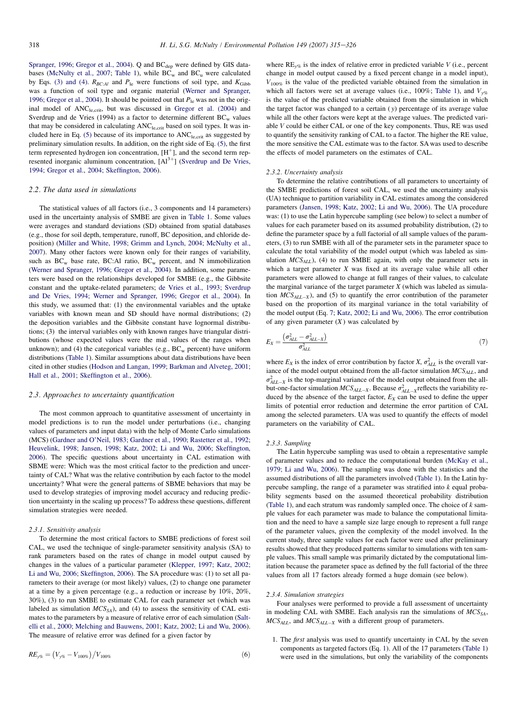<span id="page-3-0"></span>[Spranger, 1996; Gregor et al., 2004](#page-11-0)). Q and BC<sub>dep</sub> were defined by GIS data-bases ([McNulty et al., 2007](#page-11-0); [Table 1](#page-2-0)), while  $BC_w$  and  $BC_u$  were calculated by Eqs. [\(3\) and \(4\).](#page-2-0)  $R_{BC:Al}$  and  $P_{1e}$  were functions of soil type, and  $K_{Gibb}$ was a function of soil type and organic material ([Werner and Spranger,](#page-11-0) [1996; Gregor et al., 2004\)](#page-11-0). It should be pointed out that  $P_{\text{le}}$  was not in the orig-inal model of ANC<sub>le,crit</sub>, but was discussed in [Gregor et al. \(2004\)](#page-10-0) and Sverdrup and de Vries (1994) as a factor to determine different  $BC_w$  values that may be considered in calculating ANC<sub>le,crit</sub> based on soil types. It was included here in Eq.  $(5)$  because of its importance to  $ANC<sub>le, crit</sub>$  as suggested by preliminary simulation results. In addition, on the right side of Eq. [\(5\),](#page-2-0) the first term represented hydrogen ion concentration,  $[H^+]$ , and the second term represented inorganic aluminum concentration,  $[A]^{3+}$ ] ([Sverdrup and De Vries,](#page-11-0) [1994; Gregor et al., 2004; Skeffington, 2006\)](#page-11-0).

#### 2.2. The data used in simulations

The statistical values of all factors (i.e., 3 components and 14 parameters) used in the uncertainty analysis of SMBE are given in [Table 1](#page-2-0). Some values were averages and standard deviations (SD) obtained from spatial databases (e.g., those for soil depth, temperature, runoff, BC deposition, and chloride deposition) [\(Miller and White, 1998; Grimm and Lynch, 2004; McNulty et al.,](#page-11-0) [2007\)](#page-11-0). Many other factors were known only for their ranges of variability, such as  $BC_w$  base rate, BC:Al ratio,  $BC_w$  percent, and N immobilization [\(Werner and Spranger, 1996; Gregor et al., 2004\)](#page-11-0). In addition, some parameters were based on the relationships developed for SMBE (e.g., the Gibbsite constant and the uptake-related parameters; [de Vries et al., 1993; Sverdrup](#page-10-0) [and De Vries, 1994; Werner and Spranger, 1996; Gregor et al., 2004\)](#page-10-0). In this study, we assumed that: (1) the environmental variables and the uptake variables with known mean and SD should have normal distributions; (2) the deposition variables and the Gibbsite constant have lognormal distributions; (3) the interval variables only with known ranges have triangular distributions (whose expected values were the mid values of the ranges when unknown); and (4) the categorical variables (e.g.,  $BC_w$  percent) have uniform distributions [\(Table 1\)](#page-2-0). Similar assumptions about data distributions have been cited in other studies ([Hodson and Langan, 1999; Barkman and Alveteg, 2001;](#page-11-0) [Hall et al., 2001; Skeffington et al., 2006](#page-11-0)).

#### 2.3. Approaches to uncertainty quantification

The most common approach to quantitative assessment of uncertainty in model predictions is to run the model under perturbations (i.e., changing values of parameters and input data) with the help of Monte Carlo simulations (MCS) [\(Gardner and O'Neil, 1983; Gardner et al., 1990; Rastetter et al., 1992;](#page-10-0) [Heuvelink, 1998; Jansen, 1998; Katz, 2002; Li and Wu, 2006; Skeffington,](#page-10-0) [2006\)](#page-10-0). The specific questions about uncertainty in CAL estimation with SBME were: Which was the most critical factor to the prediction and uncertainty of CAL? What was the relative contribution by each factor to the model uncertainty? What were the general patterns of SBME behaviors that may be used to develop strategies of improving model accuracy and reducing prediction uncertainty in the scaling up process? To address these questions, different simulation strategies were needed.

#### 2.3.1. Sensitivity analysis

To determine the most critical factors to SMBE predictions of forest soil CAL, we used the technique of single-parameter sensitivity analysis (SA) to rank parameters based on the rates of change in model output caused by changes in the values of a particular parameter ([Klepper, 1997; Katz, 2002;](#page-11-0) [Li and Wu, 2006; Skeffington, 2006](#page-11-0)). The SA procedure was: (1) to set all parameters to their average (or most likely) values, (2) to change one parameter at a time by a given percentage (e.g., a reduction or increase by 10%, 20%, 30%), (3) to run SMBE to estimate CAL for each parameter set (which was labeled as simulation  $MCS_{SA}$ ), and (4) to assess the sensitivity of CAL estimates to the parameters by a measure of relative error of each simulation ([Salt](#page-11-0)[elli et al., 2000; Melching and Bauwens, 2001; Katz, 2002; Li and Wu, 2006](#page-11-0)). The measure of relative error was defined for a given factor by

$$
RE_{y\%} = (V_{y\%} - V_{100\%})/V_{100\%}
$$
 (6)

where  $RE_{\gamma\%}$  is the index of relative error in predicted variable V (i.e., percent change in model output caused by a fixed percent change in a model input),  $V_{100\%}$  is the value of the predicted variable obtained from the simulation in which all factors were set at average values (i.e., 100%; [Table 1\)](#page-2-0), and  $V_{\nu\%}$ is the value of the predicted variable obtained from the simulation in which the target factor was changed to a certain ( y) percentage of its average value while all the other factors were kept at the average values. The predicted variable V could be either CAL or one of the key components. Thus, RE was used to quantify the sensitivity ranking of CAL to a factor. The higher the RE value, the more sensitive the CAL estimate was to the factor. SA was used to describe the effects of model parameters on the estimates of CAL.

#### 2.3.2. Uncertainty analysis

To determine the relative contributions of all parameters to uncertainty of the SMBE predictions of forest soil CAL, we used the uncertainty analysis (UA) technique to partition variability in CAL estimates among the considered parameters [\(Jansen, 1998; Katz, 2002; Li and Wu, 2006\)](#page-11-0). The UA procedure was: (1) to use the Latin hypercube sampling (see below) to select a number of values for each parameter based on its assumed probability distribution, (2) to define the parameter space by a full factorial of all sample values of the parameters, (3) to run SMBE with all of the parameter sets in the parameter space to calculate the total variability of the model output (which was labeled as simulation  $MCS_{ALL}$ ), (4) to run SMBE again, with only the parameter sets in which a target parameter  $X$  was fixed at its average value while all other parameters were allowed to change at full ranges of their values, to calculate the marginal variance of the target parameter  $X$  (which was labeled as simulation  $MCS_{ALL-X}$ ), and (5) to quantify the error contribution of the parameter based on the proportion of its marginal variance in the total variability of the model output (Eq. 7; [Katz, 2002; Li and Wu, 2006](#page-11-0)). The error contribution of any given parameter  $(X)$  was calculated by

$$
E_X = \frac{\left(\sigma_{ALL}^2 - \sigma_{ALL-X}^2\right)}{\sigma_{ALL}^2} \tag{7}
$$

where  $E_X$  is the index of error contribution by factor X,  $\sigma_{ALL}^2$  is the overall variance of the model output obtained from the all-factor simulation  $MCS_{ALL}$ , and  $\sigma_{ALL-X}^2$  is the top-marginal variance of the model output obtained from the allbut-one-factor simulation  $MCS_{ALL-X}$ . Because  $\sigma_{ALL-X}^2$  reflects the variability reduced by the absence of the target factor,  $E_X$  can be used to define the upper limits of potential error reduction and determine the error partition of CAL among the selected parameters. UA was used to quantify the effects of model parameters on the variability of CAL.

#### 2.3.3. Sampling

The Latin hypercube sampling was used to obtain a representative sample of parameter values and to reduce the computational burden [\(McKay et al.,](#page-11-0) [1979; Li and Wu, 2006](#page-11-0)). The sampling was done with the statistics and the assumed distributions of all the parameters involved ([Table 1](#page-2-0)). In the Latin hypercube sampling, the range of a parameter was stratified into  $k$  equal probability segments based on the assumed theoretical probability distribution [\(Table 1](#page-2-0)), and each stratum was randomly sampled once. The choice of  $k$  sample values for each parameter was made to balance the computational limitation and the need to have a sample size large enough to represent a full range of the parameter values, given the complexity of the model involved. In the current study, three sample values for each factor were used after preliminary results showed that they produced patterns similar to simulations with ten sample values. This small sample was primarily dictated by the computational limitation because the parameter space as defined by the full factorial of the three values from all 17 factors already formed a huge domain (see below).

#### 2.3.4. Simulation strategies

Four analyses were performed to provide a full assessment of uncertainty in modeling CAL with SMBE. Each analysis ran the simulations of  $MCS<sub>SA</sub>$ ,  $MCS_{ALL}$ , and  $MCS_{ALL-X}$  with a different group of parameters.

1. The first analysis was used to quantify uncertainty in CAL by the seven components as targeted factors (Eq. [1\)](#page-1-0). All of the 17 parameters ([Table 1](#page-2-0)) were used in the simulations, but only the variability of the components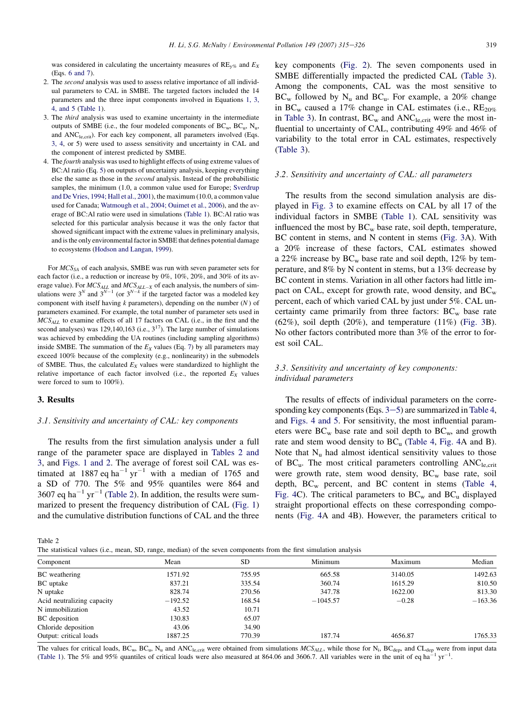<span id="page-4-0"></span>was considered in calculating the uncertainty measures of  $RE_{\gamma\%}$  and  $E_X$ (Eqs. [6 and 7](#page-3-0)).

- 2. The second analysis was used to assess relative importance of all individual parameters to CAL in SMBE. The targeted factors included the 14 parameters and the three input components involved in Equations [1, 3,](#page-1-0) [4, and 5](#page-1-0) [\(Table 1\)](#page-2-0).
- 3. The third analysis was used to examine uncertainty in the intermediate outputs of SMBE (i.e., the four modeled components of  $BC_w$ ,  $BC_u$ ,  $N_u$ , and ANC<sub>le,crit</sub>). For each key component, all parameters involved (Eqs. [3, 4](#page-2-0), or 5) were used to assess sensitivity and uncertainty in CAL and the component of interest predicted by SMBE.
- 4. The fourth analysis was used to highlight effects of using extreme values of BC:Al ratio (Eq. [5\)](#page-2-0) on outputs of uncertainty analysis, keeping everything else the same as those in the second analysis. Instead of the probabilistic samples, the minimum (1.0, a common value used for Europe; [Sverdrup](#page-11-0) [and De Vries, 1994; Hall et al., 2001](#page-11-0)), the maximum (10.0, a common value used for Canada; [Watmough et al., 2004; Ouimet et al., 2006\)](#page-11-0), and the average of BC:Al ratio were used in simulations ([Table 1\)](#page-2-0). BC:Al ratio was selected for this particular analysis because it was the only factor that showed significant impact with the extreme values in preliminary analysis, and is the only environmental factor in SMBE that defines potential damage to ecosystems [\(Hodson and Langan, 1999](#page-11-0)).

For  $MCS<sub>SA</sub>$  of each analysis, SMBE was run with seven parameter sets for each factor (i.e., a reduction or increase by 0%, 10%, 20%, and 30% of its average value). For  $MCS_{ALL}$  and  $MCS_{ALL-X}$  of each analysis, the numbers of simulations were  $3^N$  and  $3^{N-1}$  (or  $3^{N-k}$  if the targeted factor was a modeled key component with itself having  $k$  parameters), depending on the number  $(N)$  of parameters examined. For example, the total number of parameter sets used in  $MCS_{ALL}$  to examine effects of all 17 factors on CAL (i.e., in the first and the second analyses) was 129,140,163 (i.e.,  $3^{17}$ ). The large number of simulations was achieved by embedding the UA routines (including sampling algorithms) inside SMBE. The summation of the  $E<sub>X</sub>$  values (Eq. [7\)](#page-3-0) by all parameters may exceed 100% because of the complexity (e.g., nonlinearity) in the submodels of SMBE. Thus, the calculated  $E<sub>X</sub>$  values were standardized to highlight the relative importance of each factor involved (i.e., the reported  $E_X$  values were forced to sum to 100%).

## 3. Results

## 3.1. Sensitivity and uncertainty of CAL: key components

The results from the first simulation analysis under a full range of the parameter space are displayed in Tables 2 and 3, and [Figs. 1 and 2](#page-5-0). The average of forest soil CAL was estimated at 1887 eq ha<sup>-1</sup> yr<sup>-1</sup> with a median of 1765 and a SD of 770. The 5% and 95% quantiles were 864 and 3607 eq ha<sup>-1</sup> yr<sup>-1</sup> (Table 2). In addition, the results were summarized to present the frequency distribution of CAL [\(Fig. 1](#page-5-0)) and the cumulative distribution functions of CAL and the three key components ([Fig. 2\)](#page-5-0). The seven components used in SMBE differentially impacted the predicted CAL [\(Table 3\)](#page-5-0). Among the components, CAL was the most sensitive to  $BC_w$  followed by  $N_u$  and  $BC_u$ . For example, a 20% change in BC<sub>w</sub> caused a 17% change in CAL estimates (i.e.,  $RE_{20\%}$ ) in [Table 3\)](#page-5-0). In contrast,  $BC_w$  and  $ANC<sub>le,crit</sub>$  were the most influential to uncertainty of CAL, contributing 49% and 46% of variability to the total error in CAL estimates, respectively ([Table 3](#page-5-0)).

#### 3.2. Sensitivity and uncertainty of CAL: all parameters

The results from the second simulation analysis are displayed in [Fig. 3](#page-6-0) to examine effects on CAL by all 17 of the individual factors in SMBE [\(Table 1\)](#page-2-0). CAL sensitivity was influenced the most by  $BC_w$  base rate, soil depth, temperature, BC content in stems, and N content in stems [\(Fig. 3A](#page-6-0)). With a 20% increase of these factors, CAL estimates showed a 22% increase by  $BC_w$  base rate and soil depth, 12% by temperature, and 8% by N content in stems, but a 13% decrease by BC content in stems. Variation in all other factors had little impact on CAL, except for growth rate, wood density, and  $BC_w$ percent, each of which varied CAL by just under 5%. CAL uncertainty came primarily from three factors:  $BC_w$  base rate  $(62\%)$ , soil depth  $(20\%)$ , and temperature  $(11\%)$  ([Fig. 3](#page-6-0)B). No other factors contributed more than 3% of the error to forest soil CAL.

# 3.3. Sensitivity and uncertainty of key components: individual parameters

The results of effects of individual parameters on the corresponding k[e](#page-2-0)y components (Eqs.  $3-5$ ) are summarized in [Table 4](#page-7-0), and [Figs. 4 and 5](#page-7-0). For sensitivity, the most influential parameters were  $BC_w$  base rate and soil depth to  $BC_w$ , and growth rate and stem wood density to  $BC_u$  ([Table 4](#page-7-0), [Fig. 4A](#page-7-0) and B). Note that  $N_u$  had almost identical sensitivity values to those of  $BC_u$ . The most critical parameters controlling  $ANC<sub>le, crit</sub>$ were growth rate, stem wood density,  $BC_w$  base rate, soil depth,  $BC_w$  percent, and  $BC$  content in stems ([Table 4](#page-7-0), [Fig. 4](#page-7-0)C). The critical parameters to  $BC_w$  and  $BC_u$  displayed straight proportional effects on these corresponding components ([Fig. 4A](#page-7-0) and 4B). However, the parameters critical to

Table 2

The statistical values (i.e., mean, SD, range, median) of the seven components from the first simulation analysis

| Component                  | Mean      | <b>SD</b> | Minimum    | Maximum | Median    |
|----------------------------|-----------|-----------|------------|---------|-----------|
| <b>BC</b> weathering       | 1571.92   | 755.95    | 665.58     | 3140.05 | 1492.63   |
| BC uptake                  | 837.21    | 335.54    | 360.74     | 1615.29 | 810.50    |
| N uptake                   | 828.74    | 270.56    | 347.78     | 1622.00 | 813.30    |
| Acid neutralizing capacity | $-192.52$ | 168.54    | $-1045.57$ | $-0.28$ | $-163.36$ |
| N immobilization           | 43.52     | 10.71     |            |         |           |
| BC deposition              | 130.83    | 65.07     |            |         |           |
| Chloride deposition        | 43.06     | 34.90     |            |         |           |
| Output: critical loads     | 1887.25   | 770.39    | 187.74     | 4656.87 | 1765.33   |
|                            |           |           |            |         |           |

The values for critical loads,  $BC_w$ ,  $BC_u$ ,  $N_u$  and  $ANC<sub>le,crit</sub>$  were obtained from simulations  $MCS_{ALL}$ , while those for  $N_i$ ,  $BC_{dep}$ , and  $CL_{dep}$  were from input data [\(Table 1](#page-2-0)). The 5% and 95% quantiles of critical loads were also measured at 864.06 and 3606.7. All variables were in the unit of eq ha<sup>-1</sup> yr<sup>-1</sup>.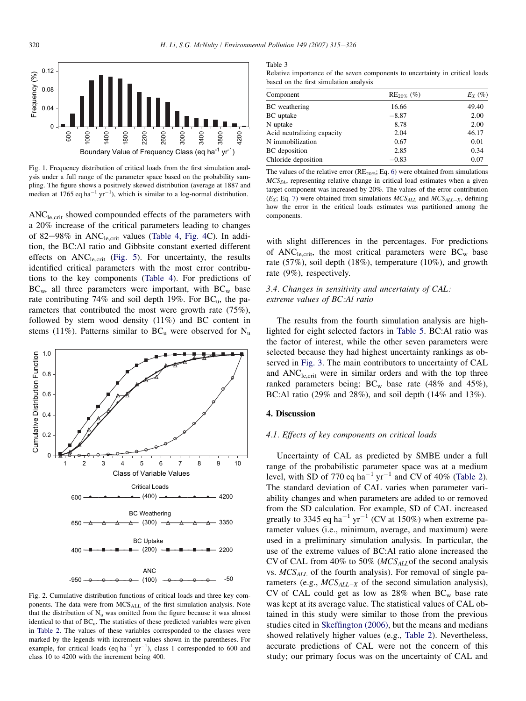<span id="page-5-0"></span>

Fig. 1. Frequency distribution of critical loads from the first simulation analysis under a full range of the parameter space based on the probability sampling. The figure shows a positively skewed distribution (average at 1887 and median at 1765 eq ha<sup>-1</sup> yr<sup>-1</sup>), which is similar to a log-normal distribution.

ANC<sub>le,crit</sub> showed compounded effects of the parameters with a 20% increase of the critical parameters leading to changes of 82–98% in  $ANC<sub>le,crit</sub>$  values ([Table 4,](#page-7-0) [Fig. 4](#page-7-0)C). In addition, the BC:Al ratio and Gibbsite constant exerted different effects on  $ANC<sub>le,crit</sub>$  ([Fig. 5](#page-8-0)). For uncertainty, the results identified critical parameters with the most error contributions to the key components ([Table 4](#page-7-0)). For predictions of  $BC_w$ , all three parameters were important, with  $BC_w$  base rate contributing 74% and soil depth 19%. For  $BC_u$ , the parameters that contributed the most were growth rate (75%), followed by stem wood density (11%) and BC content in stems (11%). Patterns similar to  $BC_u$  were observed for  $N_u$ 



Fig. 2. Cumulative distribution functions of critical loads and three key components. The data were from MCSALL of the first simulation analysis. Note that the distribution of  $N_u$  was omitted from the figure because it was almost identical to that of BC<sub>u</sub>. The statistics of these predicted variables were given in [Table 2](#page-4-0). The values of these variables corresponded to the classes were marked by the legends with increment values shown in the parentheses. For example, for critical loads (eq ha<sup>-1</sup> yr<sup>-1</sup>), class 1 corresponded to 600 and class 10 to 4200 with the increment being 400.

Table 3

Relative importance of the seven components to uncertainty in critical loads based on the first simulation analysis

| $RE_{20\%}$ (%) | $E_X$ (%) |
|-----------------|-----------|
| 16.66           | 49.40     |
| $-8.87$         | 2.00      |
| 8.78            | 2.00      |
| 2.04            | 46.17     |
| 0.67            | 0.01      |
| 2.85            | 0.34      |
| $-0.83$         | 0.07      |
|                 |           |

The values of the relative error ( $RE_{20\%}$ ; Eq. [6\)](#page-3-0) were obtained from simulations  $MCS<sub>SA</sub>$ , representing relative change in critical load estimates when a given target component was increased by 20%. The values of the error contribution  $(E_X; Eq. 7)$  $(E_X; Eq. 7)$  were obtained from simulations  $MCS_{ALL}$  and  $MCS_{ALL-X}$ , defining how the error in the critical loads estimates was partitioned among the components.

with slight differences in the percentages. For predictions of  $ANC<sub>le.crit</sub>$ , the most critical parameters were  $BC<sub>w</sub>$  base rate (57%), soil depth (18%), temperature (10%), and growth rate (9%), respectively.

# 3.4. Changes in sensitivity and uncertainty of CAL: extreme values of BC:Al ratio

The results from the fourth simulation analysis are highlighted for eight selected factors in [Table 5](#page-9-0). BC:Al ratio was the factor of interest, while the other seven parameters were selected because they had highest uncertainty rankings as observed in [Fig. 3.](#page-6-0) The main contributors to uncertainty of CAL and  $ANC<sub>le,crit</sub>$  were in similar orders and with the top three ranked parameters being:  $BC_w$  base rate (48% and 45%), BC:Al ratio (29% and 28%), and soil depth (14% and 13%).

## 4. Discussion

#### 4.1. Effects of key components on critical loads

Uncertainty of CAL as predicted by SMBE under a full range of the probabilistic parameter space was at a medium level, with SD of 770 eq ha<sup>-1</sup> yr<sup>-1</sup> and CV of 40% ([Table 2\)](#page-4-0). The standard deviation of CAL varies when parameter variability changes and when parameters are added to or removed from the SD calculation. For example, SD of CAL increased greatly to 3345 eq ha<sup>-1</sup> yr<sup>-1</sup> (CV at 150%) when extreme parameter values (i.e., minimum, average, and maximum) were used in a preliminary simulation analysis. In particular, the use of the extreme values of BC:Al ratio alone increased the CV of CAL from 40% to 50% ( $MCS_{ALL}$  of the second analysis vs.  $MCS_{ALL}$  of the fourth analysis). For removal of single parameters (e.g.,  $MCS_{ALL-X}$  of the second simulation analysis), CV of CAL could get as low as  $28\%$  when BC<sub>w</sub> base rate was kept at its average value. The statistical values of CAL obtained in this study were similar to those from the previous studies cited in [Skeffington \(2006\),](#page-11-0) but the means and medians showed relatively higher values (e.g., [Table 2](#page-4-0)). Nevertheless, accurate predictions of CAL were not the concern of this study; our primary focus was on the uncertainty of CAL and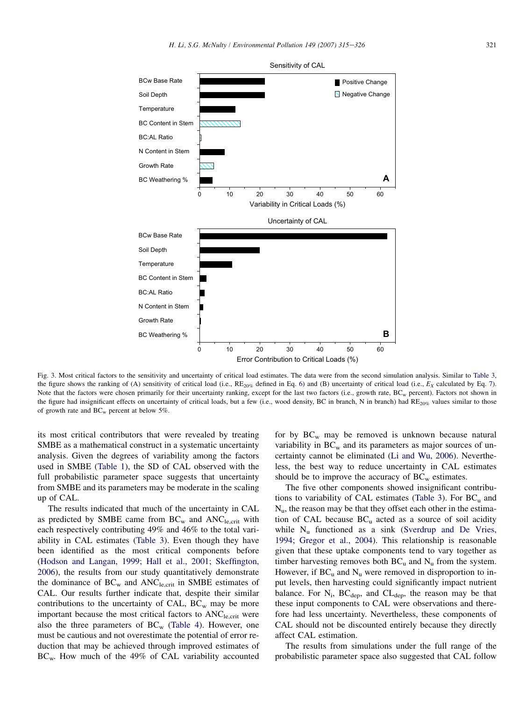<span id="page-6-0"></span>

Fig. 3. Most critical factors to the sensitivity and uncertainty of critical load estimates. The data were from the second simulation analysis. Similar to [Table 3,](#page-5-0) the figure shows the ranking of (A) sensitivity of critical load (i.e.,  $RE_{20\%}$  defined in Eq. [6\)](#page-3-0) and (B) uncertainty of critical load (i.e.,  $E_x$  calculated by Eq. [7\)](#page-3-0). Note that the factors were chosen primarily for their uncertainty ranking, except for the last two factors (i.e., growth rate, BC<sub>w</sub> percent). Factors not shown in the figure had insignificant effects on uncertainty of critical loads, but a few (i.e., wood density, BC in branch, N in branch) had RE<sub>20%</sub> values similar to those of growth rate and  $BC_w$  percent at below 5%.

its most critical contributors that were revealed by treating SMBE as a mathematical construct in a systematic uncertainty analysis. Given the degrees of variability among the factors used in SMBE ([Table 1\)](#page-2-0), the SD of CAL observed with the full probabilistic parameter space suggests that uncertainty from SMBE and its parameters may be moderate in the scaling up of CAL.

The results indicated that much of the uncertainty in CAL as predicted by SMBE came from  $BC_w$  and  $ANC<sub>le,crit</sub>$  with each respectively contributing 49% and 46% to the total variability in CAL estimates [\(Table 3\)](#page-5-0). Even though they have been identified as the most critical components before ([Hodson and Langan, 1999; Hall et al., 2001; Skeffington,](#page-11-0) [2006](#page-11-0)), the results from our study quantitatively demonstrate the dominance of  $BC_w$  and  $ANC<sub>le,crit</sub>$  in SMBE estimates of CAL. Our results further indicate that, despite their similar contributions to the uncertainty of CAL,  $BC_w$  may be more important because the most critical factors to  $ANC<sub>le,crit</sub>$  were also the three parameters of  $BC_w$  ([Table 4\)](#page-7-0). However, one must be cautious and not overestimate the potential of error reduction that may be achieved through improved estimates of  $BC_{w}$ . How much of the 49% of CAL variability accounted for by  $BC_w$  may be removed is unknown because natural variability in  $BC_w$  and its parameters as major sources of uncertainty cannot be eliminated ([Li and Wu, 2006](#page-11-0)). Nevertheless, the best way to reduce uncertainty in CAL estimates should be to improve the accuracy of  $BC_w$  estimates.

The five other components showed insignificant contribu-tions to variability of CAL estimates [\(Table 3\)](#page-5-0). For  $BC_u$  and  $N_{\text{u}}$ , the reason may be that they offset each other in the estimation of CAL because  $BC_u$  acted as a source of soil acidity while  $N_u$  functioned as a sink [\(Sverdrup and De Vries,](#page-11-0) [1994; Gregor et al., 2004](#page-11-0)). This relationship is reasonable given that these uptake components tend to vary together as timber harvesting removes both  $BC_u$  and  $N_u$  from the system. However, if  $BC_u$  and  $N_u$  were removed in disproportion to input levels, then harvesting could significantly impact nutrient balance. For  $N_i$ , BC<sub>dep</sub>, and CL<sub>dep</sub>, the reason may be that these input components to CAL were observations and therefore had less uncertainty. Nevertheless, these components of CAL should not be discounted entirely because they directly affect CAL estimation.

The results from simulations under the full range of the probabilistic parameter space also suggested that CAL follow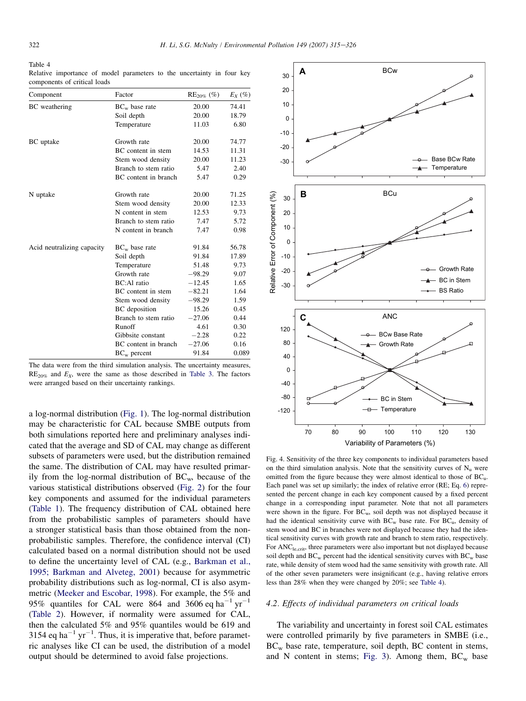#### <span id="page-7-0"></span>Table 4

|                              |  |  | Relative importance of model parameters to the uncertainty in four key |  |  |
|------------------------------|--|--|------------------------------------------------------------------------|--|--|
| components of critical loads |  |  |                                                                        |  |  |

| Component                  | Factor               | $RE_{20\%}$ (%) | $E_X$ (%) |
|----------------------------|----------------------|-----------------|-----------|
| <b>BC</b> weathering       | $BC_w$ base rate     | 20.00           | 74.41     |
|                            | Soil depth           | 20.00           | 18.79     |
|                            | Temperature          | 11.03           | 6.80      |
| BC uptake                  | Growth rate          | 20.00           | 74.77     |
|                            | BC content in stem   | 14.53           | 11.31     |
|                            | Stem wood density    | 20.00           | 11.23     |
|                            | Branch to stem ratio | 5.47            | 2.40      |
|                            | BC content in branch | 5.47            | 0.29      |
| N uptake                   | Growth rate          | 20.00           | 71.25     |
|                            | Stem wood density    | 20.00           | 12.33     |
|                            | N content in stem    | 12.53           | 9.73      |
|                            | Branch to stem ratio | 7.47            | 5.72      |
|                            | N content in branch  | 7.47            | 0.98      |
| Acid neutralizing capacity | $BC_w$ base rate     | 91.84           | 56.78     |
|                            | Soil depth           | 91.84           | 17.89     |
|                            | Temperature          | 51.48           | 9.73      |
|                            | Growth rate          | $-98.29$        | 9.07      |
|                            | <b>BC:Al</b> ratio   | $-12.45$        | 1.65      |
|                            | BC content in stem   | $-82.21$        | 1.64      |
|                            | Stem wood density    | $-98.29$        | 1.59      |
|                            | <b>BC</b> deposition | 15.26           | 0.45      |
|                            | Branch to stem ratio | $-27.06$        | 0.44      |
|                            | Runoff               | 4.61            | 0.30      |
|                            | Gibbsite constant    | $-2.28$         | 0.22      |
|                            | BC content in branch | $-27.06$        | 0.16      |
|                            | $BC_w$ percent       | 91.84           | 0.089     |

The data were from the third simulation analysis. The uncertainty measures,  $RE<sub>20%</sub>$  and  $E<sub>X</sub>$ , were the same as those described in [Table 3](#page-5-0). The factors were arranged based on their uncertainty rankings.

a log-normal distribution ([Fig. 1](#page-5-0)). The log-normal distribution may be characteristic for CAL because SMBE outputs from both simulations reported here and preliminary analyses indicated that the average and SD of CAL may change as different subsets of parameters were used, but the distribution remained the same. The distribution of CAL may have resulted primarily from the log-normal distribution of  $BC_{w}$ , because of the various statistical distributions observed [\(Fig. 2\)](#page-5-0) for the four key components and assumed for the individual parameters [\(Table 1](#page-2-0)). The frequency distribution of CAL obtained here from the probabilistic samples of parameters should have a stronger statistical basis than those obtained from the nonprobabilistic samples. Therefore, the confidence interval (CI) calculated based on a normal distribution should not be used to define the uncertainty level of CAL (e.g., [Barkman et al.,](#page-10-0) [1995; Barkman and Alveteg, 2001\)](#page-10-0) because for asymmetric probability distributions such as log-normal, CI is also asymmetric ([Meeker and Escobar, 1998\)](#page-11-0). For example, the 5% and 95% quantiles for CAL were 864 and 3606 eq ha<sup>-1</sup> yr<sup>-1</sup> [\(Table 2\)](#page-4-0). However, if normality were assumed for CAL, then the calculated 5% and 95% quantiles would be 619 and 3154 eq ha<sup>-1</sup> yr<sup>-1</sup>. Thus, it is imperative that, before parametric analyses like CI can be used, the distribution of a model output should be determined to avoid false projections.



Fig. 4. Sensitivity of the three key components to individual parameters based on the third simulation analysis. Note that the sensitivity curves of  $N_{\text{u}}$  were omitted from the figure because they were almost identical to those of BCu. Each panel was set up similarly; the index of relative error (RE; Eq. [6\)](#page-3-0) represented the percent change in each key component caused by a fixed percent change in a corresponding input parameter. Note that not all parameters were shown in the figure. For  $BC_w$ , soil depth was not displayed because it had the identical sensitivity curve with  $BC_w$  base rate. For  $BC_u$ , density of stem wood and BC in branches were not displayed because they had the identical sensitivity curves with growth rate and branch to stem ratio, respectively. For ANC<sub>le,crit</sub>, three parameters were also important but not displayed because soil depth and  $BC_w$  percent had the identical sensitivity curves with  $BC_w$  base rate, while density of stem wood had the same sensitivity with growth rate. All of the other seven parameters were insignificant (e.g., having relative errors less than 28% when they were changed by 20%; see Table 4).

## 4.2. Effects of individual parameters on critical loads

The variability and uncertainty in forest soil CAL estimates were controlled primarily by five parameters in SMBE (i.e., BCw base rate, temperature, soil depth, BC content in stems, and N content in stems; [Fig. 3\)](#page-6-0). Among them,  $BC_w$  base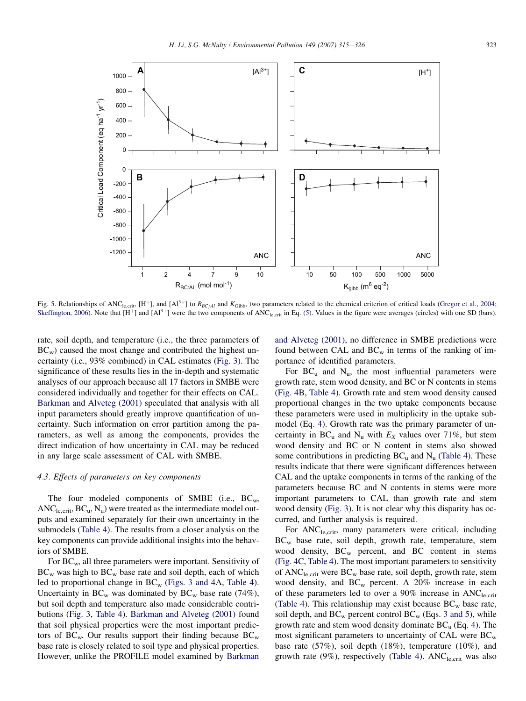<span id="page-8-0"></span>

Fig. 5. Relationships of ANC<sub>le,crit</sub>, [H<sup>+</sup>], and [Al<sup>3+</sup>] to R<sub>BC/Al</sub> and K<sub>Gibb</sub>, two parameters related to the chemical criterion of critical loads [\(Gregor et al., 2004;](#page-10-0) [Skeffington, 2006\)](#page-10-0). Note that  $[H^+]$  and  $[A^{3+}]$  were the two components of ANC<sub>le,crit</sub> in Eq. [\(5\).](#page-2-0) Values in the figure were averages (circles) with one SD (bars).

rate, soil depth, and temperature (i.e., the three parameters of  $BC_w$ ) caused the most change and contributed the highest uncertainty (i.e., 93% combined) in CAL estimates ([Fig. 3](#page-6-0)). The significance of these results lies in the in-depth and systematic analyses of our approach because all 17 factors in SMBE were considered individually and together for their effects on CAL. [Barkman and Alveteg \(2001\)](#page-10-0) speculated that analysis with all input parameters should greatly improve quantification of uncertainty. Such information on error partition among the parameters, as well as among the components, provides the direct indication of how uncertainty in CAL may be reduced in any large scale assessment of CAL with SMBE.

## 4.3. Effects of parameters on key components

The four modeled components of SMBE (i.e.,  $BC_w$ ,  $ANC<sub>le,crit</sub>, BC<sub>u</sub>, N<sub>u</sub>$  were treated as the intermediate model outputs and examined separately for their own uncertainty in the submodels [\(Table 4](#page-7-0)). The results from a closer analysis on the key components can provide additional insights into the behaviors of SMBE.

For  $BC_w$ , all three parameters were important. Sensitivity of  $BC_w$  was high to  $BC_w$  base rate and soil depth, each of which led to proportional change in  $BC_w$  [\(Figs. 3 and 4](#page-6-0)A, [Table 4\)](#page-7-0). Uncertainty in  $BC_w$  was dominated by  $BC_w$  base rate (74%), but soil depth and temperature also made considerable contributions [\(Fig. 3,](#page-6-0) [Table 4\)](#page-7-0). [Barkman and Alveteg \(2001\)](#page-10-0) found that soil physical properties were the most important predictors of BC<sub>w</sub>. Our results support their finding because  $BC_w$ base rate is closely related to soil type and physical properties. However, unlike the PROFILE model examined by [Barkman](#page-10-0) [and Alveteg \(2001\),](#page-10-0) no difference in SMBE predictions were found between CAL and  $BC_w$  in terms of the ranking of importance of identified parameters.

For  $BC_u$  and  $N_u$ , the most influential parameters were growth rate, stem wood density, and BC or N contents in stems ([Fig. 4](#page-7-0)B, [Table 4](#page-7-0)). Growth rate and stem wood density caused proportional changes in the two uptake components because these parameters were used in multiplicity in the uptake submodel (Eq. [4\)](#page-2-0). Growth rate was the primary parameter of uncertainty in BC<sub>u</sub> and N<sub>u</sub> with  $E_X$  values over 71%, but stem wood density and BC or N content in stems also showed some contributions in predicting  $BC_u$  and  $N_u$  ([Table 4\)](#page-7-0). These results indicate that there were significant differences between CAL and the uptake components in terms of the ranking of the parameters because BC and N contents in stems were more important parameters to CAL than growth rate and stem wood density [\(Fig. 3\)](#page-6-0). It is not clear why this disparity has occurred, and further analysis is required.

For ANC<sub>le,crit</sub>, many parameters were critical, including BCw base rate, soil depth, growth rate, temperature, stem wood density,  $BC_w$  percent, and  $BC$  content in stems ([Fig. 4C](#page-7-0), [Table 4\)](#page-7-0). The most important parameters to sensitivity of  $ANC<sub>le,crit</sub>$  were  $BC<sub>w</sub>$  base rate, soil depth, growth rate, stem wood density, and  $BC_w$  percent. A 20% increase in each of these parameters led to over a  $90\%$  increase in ANC<sub>le,crit</sub> ([Table 4](#page-7-0)). This relationship may exist because  $BC_w$  base rate, soil depth, and  $BC_w$  percent control  $BC_w$  (Eqs. [3 and 5\)](#page-2-0), while growth rate and stem wood density dominate  $BC_u$  (Eq. [4\)](#page-2-0). The most significant parameters to uncertainty of CAL were  $BC_w$ base rate (57%), soil depth (18%), temperature (10%), and growth rate  $(9\%)$ , respectively [\(Table 4](#page-7-0)). ANC<sub>le,crit</sub> was also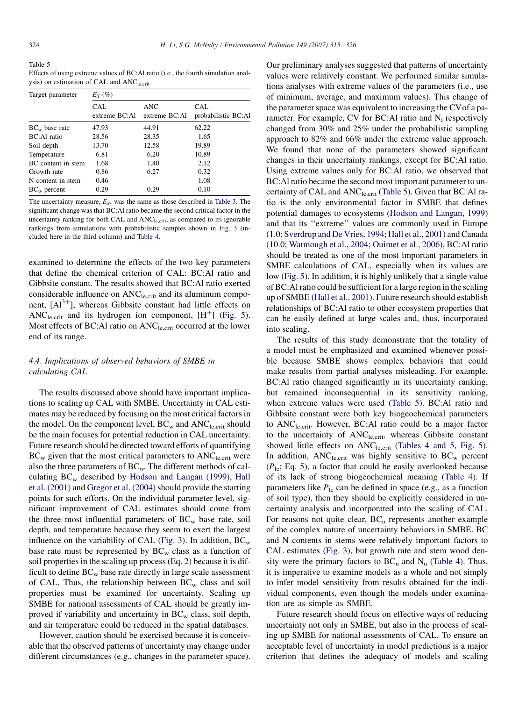<span id="page-9-0"></span>Table 5 Effects of using extreme values of BC:Al ratio (i.e., the fourth simulation analysis) on estimation of CAL and  $ANC<sub>le,crit</sub>$ 

| Target parameter   | $E_X(\%)$                   |                      |                            |  |  |  |  |
|--------------------|-----------------------------|----------------------|----------------------------|--|--|--|--|
|                    | <b>CAL</b><br>extreme BC:Al | ANC<br>extreme BC:Al | CAL<br>probabilistic BC:Al |  |  |  |  |
| $BC_{w}$ base rate | 47.93                       | 44.91                | 62.22                      |  |  |  |  |
| BC: Al ratio       | 28.56                       | 28.35                | 1.65                       |  |  |  |  |
| Soil depth         | 13.70                       | 12.58                | 19.89                      |  |  |  |  |
| Temperature        | 6.81                        | 6.20                 | 10.89                      |  |  |  |  |
| BC content in stem | 1.68                        | 1.40                 | 2.12                       |  |  |  |  |
| Growth rate        | 0.86                        | 6.27                 | 0.32                       |  |  |  |  |
| N content in stem  | 0.46                        |                      | 1.08                       |  |  |  |  |
| $BC_w$ percent     | 0.29                        | 0.29                 | 0.10                       |  |  |  |  |

The uncertainty measure,  $E_X$ , was the same as those described in [Table 3](#page-5-0). The significant change was that BC:Al ratio became the second critical factor in the uncertainty ranking for both CAL and  $ANC<sub>le, crit</sub>$ , as compared to its ignorable rankings from simulations with probabilistic samples shown in [Fig. 3](#page-6-0) (included here in the third column) and [Table 4.](#page-7-0)

examined to determine the effects of the two key parameters that define the chemical criterion of CAL: BC:Al ratio and Gibbsite constant. The results showed that BC:Al ratio exerted considerable influence on ANC<sub>le,crit</sub> and its aluminum component,  $[A]^{3+}$ ], whereas Gibbsite constant had little effects on ANC<sub>le,crit</sub> and its hydrogen ion component,  $[H^+]$  ([Fig. 5\)](#page-8-0). Most effects of BC:Al ratio on ANC<sub>le,crit</sub> occurred at the lower end of its range.

# 4.4. Implications of observed behaviors of SMBE in calculating CAL

The results discussed above should have important implications to scaling up CAL with SMBE. Uncertainty in CAL estimates may be reduced by focusing on the most critical factors in the model. On the component level,  $BC_w$  and  $ANC<sub>le,crit</sub>$  should be the main focuses for potential reduction in CAL uncertainty. Future research should be directed toward efforts of quantifying  $BC_w$  given that the most critical parameters to  $ANC<sub>le, crit</sub>$  were also the three parameters of  $BC_{w}$ . The different methods of calculating  $BC_w$  described by [Hodson and Langan \(1999\), Hall](#page-11-0) [et al. \(2001\)](#page-11-0) and [Gregor et al. \(2004\)](#page-10-0) should provide the starting points for such efforts. On the individual parameter level, significant improvement of CAL estimates should come from the three most influential parameters of  $BC_w$  base rate, soil depth, and temperature because they seem to exert the largest influence on the variability of CAL ([Fig. 3](#page-6-0)). In addition,  $BC_w$ base rate must be represented by  $BC_w$  class as a function of soil properties in the scaling up process (Eq. [2\)](#page-1-0) because it is difficult to define  $BC_w$  base rate directly in large scale assessment of CAL. Thus, the relationship between  $BC_w$  class and soil properties must be examined for uncertainty. Scaling up SMBE for national assessments of CAL should be greatly improved if variability and uncertainty in  $BC_w$  class, soil depth, and air temperature could be reduced in the spatial databases.

However, caution should be exercised because it is conceivable that the observed patterns of uncertainty may change under different circumstances (e.g., changes in the parameter space).

Our preliminary analyses suggested that patterns of uncertainty values were relatively constant. We performed similar simulations analyses with extreme values of the parameters (i.e., use of minimum, average, and maximum values). This change of the parameter space was equivalent to increasing the CVof a parameter. For example, CV for BC:Al ratio and  $N_i$  respectively changed from 30% and 25% under the probabilistic sampling approach to 82% and 66% under the extreme value approach. We found that none of the parameters showed significant changes in their uncertainty rankings, except for BC:Al ratio. Using extreme values only for BC:Al ratio, we observed that BC:Al ratio became the second most important parameter to uncertainty of CAL and  $ANC<sub>le, crit</sub>$  (Table 5). Given that BC:Al ratio is the only environmental factor in SMBE that defines potential damages to ecosystems ([Hodson and Langan, 1999](#page-11-0)) and that its ''extreme'' values are commonly used in Europe (1.0; [Sverdrup and De Vries, 1994; Hall et al., 2001\)](#page-11-0) and Canada (10.0; [Watmough et al., 2004; Ouimet et al., 2006](#page-11-0)), BC:Al ratio should be treated as one of the most important parameters in SMBE calculations of CAL, especially when its values are low [\(Fig. 5](#page-8-0)). In addition, it is highly unlikely that a single value of BC:Al ratio could be sufficient for a large region in the scaling up of SMBE [\(Hall et al., 2001](#page-11-0)). Future research should establish relationships of BC:Al ratio to other ecosystem properties that can be easily defined at large scales and, thus, incorporated into scaling.

The results of this study demonstrate that the totality of a model must be emphasized and examined whenever possible because SMBE shows complex behaviors that could make results from partial analyses misleading. For example, BC:Al ratio changed significantly in its uncertainty ranking, but remained inconsequential in its sensitivity ranking, when extreme values were used (Table 5). BC:Al ratio and Gibbsite constant were both key biogeochemical parameters to ANCle,crit. However, BC:Al ratio could be a major factor to the uncertainty of  $ANC<sub>le, crit</sub>$ , whereas Gibbsite constant showed little effects on  $ANC<sub>le.crit</sub>$  ([Tables 4 and 5,](#page-7-0) [Fig. 5\)](#page-8-0). In addition,  $ANC<sub>le,crit</sub>$  was highly sensitive to  $BC<sub>w</sub>$  percent  $(P_{\text{le}}; Eq. 5)$  $(P_{\text{le}}; Eq. 5)$ , a factor that could be easily overlooked because of its lack of strong biogeochemical meaning ([Table 4\)](#page-7-0). If parameters like  $P_{\text{le}}$  can be defined in space (e.g., as a function of soil type), then they should be explicitly considered in uncertainty analysis and incorporated into the scaling of CAL. For reasons not quite clear,  $BC_u$  represents another example of the complex nature of uncertainty behaviors in SMBE. BC and N contents in stems were relatively important factors to CAL estimates [\(Fig. 3\)](#page-6-0), but growth rate and stem wood density were the primary factors to  $BC_u$  and  $N_u$  ([Table 4](#page-7-0)). Thus, it is imperative to examine models as a whole and not simply to infer model sensitivity from results obtained for the individual components, even though the models under examination are as simple as SMBE.

Future research should focus on effective ways of reducing uncertainty not only in SMBE, but also in the process of scaling up SMBE for national assessments of CAL. To ensure an acceptable level of uncertainty in model predictions is a major criterion that defines the adequacy of models and scaling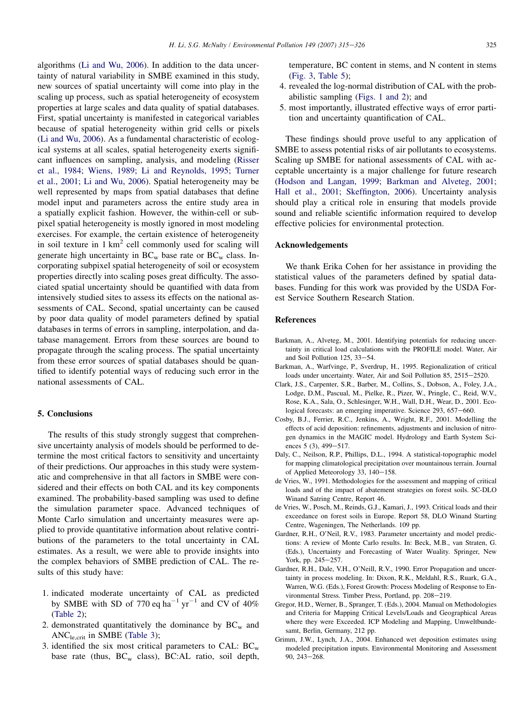<span id="page-10-0"></span>algorithms [\(Li and Wu, 2006\)](#page-11-0). In addition to the data uncertainty of natural variability in SMBE examined in this study, new sources of spatial uncertainty will come into play in the scaling up process, such as spatial heterogeneity of ecosystem properties at large scales and data quality of spatial databases. First, spatial uncertainty is manifested in categorical variables because of spatial heterogeneity within grid cells or pixels ([Li and Wu, 2006\)](#page-11-0). As a fundamental characteristic of ecological systems at all scales, spatial heterogeneity exerts significant influences on sampling, analysis, and modeling ([Risser](#page-11-0) [et al., 1984; Wiens, 1989; Li and Reynolds, 1995; Turner](#page-11-0) [et al., 2001; Li and Wu, 2006](#page-11-0)). Spatial heterogeneity may be well represented by maps from spatial databases that define model input and parameters across the entire study area in a spatially explicit fashion. However, the within-cell or subpixel spatial heterogeneity is mostly ignored in most modeling exercises. For example, the certain existence of heterogeneity in soil texture in  $1 \text{ km}^2$  cell commonly used for scaling will generate high uncertainty in  $BC_w$  base rate or  $BC_w$  class. Incorporating subpixel spatial heterogeneity of soil or ecosystem properties directly into scaling poses great difficulty. The associated spatial uncertainty should be quantified with data from intensively studied sites to assess its effects on the national assessments of CAL. Second, spatial uncertainty can be caused by poor data quality of model parameters defined by spatial databases in terms of errors in sampling, interpolation, and database management. Errors from these sources are bound to propagate through the scaling process. The spatial uncertainty from these error sources of spatial databases should be quantified to identify potential ways of reducing such error in the national assessments of CAL.

## 5. Conclusions

The results of this study strongly suggest that comprehensive uncertainty analysis of models should be performed to determine the most critical factors to sensitivity and uncertainty of their predictions. Our approaches in this study were systematic and comprehensive in that all factors in SMBE were considered and their effects on both CAL and its key components examined. The probability-based sampling was used to define the simulation parameter space. Advanced techniques of Monte Carlo simulation and uncertainty measures were applied to provide quantitative information about relative contributions of the parameters to the total uncertainty in CAL estimates. As a result, we were able to provide insights into the complex behaviors of SMBE prediction of CAL. The results of this study have:

- 1. indicated moderate uncertainty of CAL as predicted by SMBE with SD of 770 eq  $ha^{-1}$  yr<sup>-1</sup> and CV of 40% ([Table 2](#page-4-0));
- 2. demonstrated quantitatively the dominance by  $BC_w$  and ANCle,crit in SMBE ([Table 3](#page-5-0));
- 3. identified the six most critical parameters to CAL:  $BC_w$ base rate (thus,  $BC_w$  class),  $BC:AL$  ratio, soil depth,

temperature, BC content in stems, and N content in stems ([Fig. 3,](#page-6-0) [Table 5](#page-9-0));

- 4. revealed the log-normal distribution of CAL with the probabilistic sampling ([Figs. 1 and 2\)](#page-5-0); and
- 5. most importantly, illustrated effective ways of error partition and uncertainty quantification of CAL.

These findings should prove useful to any application of SMBE to assess potential risks of air pollutants to ecosystems. Scaling up SMBE for national assessments of CAL with acceptable uncertainty is a major challenge for future research ([Hodson and Langan, 1999; Barkman and Alveteg, 2001;](#page-11-0) [Hall et al., 2001; Skeffington, 2006\)](#page-11-0). Uncertainty analysis should play a critical role in ensuring that models provide sound and reliable scientific information required to develop effective policies for environmental protection.

### Acknowledgements

We thank Erika Cohen for her assistance in providing the statistical values of the parameters defined by spatial databases. Funding for this work was provided by the USDA Forest Service Southern Research Station.

### References

- Barkman, A., Alveteg, M., 2001. Identifying potentials for reducing uncertainty in critical load calculations with the PROFILE model. Water, Air and Soil Pollution  $125, 33-54$ .
- Barkman, A., Warfvinge, P., Sverdrup, H., 1995. Regionalization of critical loads under uncertainty. Water, Air and Soil Pollution 85, 2515-2520.
- Clark, J.S., Carpenter, S.R., Barber, M., Collins, S., Dobson, A., Foley, J.A., Lodge, D.M., Pascual, M., Pielke, R., Pizer, W., Pringle, C., Reid, W.V., Rose, K.A., Sala, O., Schlesinger, W.H., Wall, D.H., Wear, D., 2001. Ecological forecasts: an emerging imperative. Science 293, 657-660.
- Cosby, B.J., Ferrier, R.C., Jenkins, A., Wright, R.F., 2001. Modelling the effects of acid deposition: refinements, adjustments and inclusion of nitrogen dynamics in the MAGIC model. Hydrology and Earth System Sciences 5 (3),  $499-517$ .
- Daly, C., Neilson, R.P., Phillips, D.L., 1994. A statistical-topographic model for mapping climatological precipitation over mountainous terrain. Journal of Applied Meteorology 33, 140-158.
- de Vries, W., 1991. Methodologies for the assessment and mapping of critical loads and of the impact of abatement strategies on forest soils. SC-DLO Winand Satring Centre, Report 46.
- de Vries, W., Posch, M., Reinds, G.J., Kamari, J., 1993. Critical loads and their exceedance on forest soils in Europe. Report 58, DLO Winand Starting Centre, Wageningen, The Netherlands. 109 pp.
- Gardner, R.H., O'Neil, R.V., 1983. Parameter uncertainty and model predictions: A review of Monte Carlo results. In: Beck, M.B., van Straten, G. (Eds.), Uncertainty and Forecasting of Water Wuality. Springer, New York, pp. 245-257.
- Gardner, R.H., Dale, V.H., O'Neill, R.V., 1990. Error Propagation and uncertainty in process modeling. In: Dixon, R.K., Meldahl, R.S., Ruark, G.A., Warren, W.G. (Eds.), Forest Growth: Process Modeling of Response to Environmental Stress. Timber Press, Portland, pp. 208-219.
- Gregor, H.D., Werner, B., Spranger, T. (Eds.), 2004. Manual on Methodologies and Criteria for Mapping Critical Levels/Loads and Geographical Areas where they were Exceeded. ICP Modeling and Mapping, Umweltbundesamt, Berlin, Germany, 212 pp.
- Grimm, J.W., Lynch, J.A., 2004. Enhanced wet deposition estimates using modeled precipitation inputs. Environmental Monitoring and Assessment  $90, 243 - 268.$